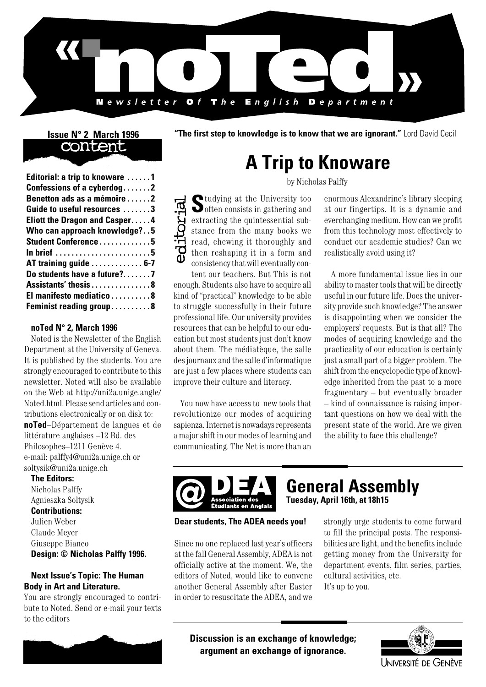

## content

| Editorial: a trip to knoware 1 |
|--------------------------------|
| Confessions of a cyberdog2     |
| Benetton ads as a mémoire 2    |
| Guide to useful resources 3    |
| Eliott the Dragon and Casper4  |
| Who can approach knowledge?5   |
| Student Conference5            |
| In brief 5                     |
| AT training guide  6-7         |
| Do students have a future?7    |
| Assistants' thesis8            |
| El manifesto mediatico8        |
| Feminist reading group8        |
|                                |

#### **noTed N° 2, March 1996**

Noted is the Newsletter of the English Department at the University of Geneva. It is published by the students. You are strongly encouraged to contribute to this newsletter. Noted will also be available on the Web at http://uni2a.unige.angle/ Noted.html. Please send articles and contributions electronically or on disk to: **noTed**–Département de langues et de littérature anglaises –12 Bd. des Philosophes–1211 Genève 4. e-mail: palffy4@uni2a.unige.ch or soltysik@uni2a.unige.ch

**The Editors:** Nicholas Palffy Agnieszka Soltysik **Contributions:** Julien Weber Claude Meyer Giuseppe Bianco **Design: © Nicholas Palffy 1996.**

#### **Next Issue's Topic: The Human Body in Art and Literature.**

You are strongly encouraged to contribute to Noted. Send or e-mail your texts to the editors



**Issue N° 2 March 1996 "The first step to knowledge is to know that we are ignorant." Lord David Cecil** 

# **A Trip to Knoware**

by Nicholas Palffy

**S**tudying at the University too  $\bullet$  often consists in gathering and extracting the quintessential substance from the many books we read, chewing it thoroughly and then reshaping it in a form and consistency that will eventually con-

tent our teachers. But This is not enough. Students also have to acquire all kind of "practical" knowledge to be able to struggle successfully in their future professional life. Our university provides resources that can be helpful to our education but most students just don't know about them. The médiatèque, the salle des journaux and the salle d'informatique are just a few places where students can improve their culture and literacy.

You now have access to new tools that revolutionize our modes of acquiring sapienza. Internet is nowadays represents a major shift in our modes of learning and communicating. The Net is more than an

enormous Alexandrine's library sleeping at our fingertips. It is a dynamic and everchanging medium. How can we profit from this technology most effectively to conduct our academic studies? Can we realistically avoid using it?

A more fundamental issue lies in our ability to master tools that will be directly useful in our future life. Does the university provide such knowledge? The answer is disappointing when we consider the employers' requests. But is that all? The modes of acquiring knowledge and the practicality of our education is certainly just a small part of a bigger problem. The shift from the encyclopedic type of knowledge inherited from the past to a more fragmentary – but eventually broader – kind of connaissance is raising important questions on how we deal with the present state of the world. Are we given the ability to face this challenge?



# **General Assembly**

**Tuesday, April 16th, at 18h15**

**Dear students, The ADEA needs you!**

Since no one replaced last year's officers at the fall General Assembly, ADEA is not officially active at the moment. We, the editors of Noted, would like to convene another General Assembly after Easter in order to resuscitate the ADEA, and we

strongly urge students to come forward to fill the principal posts. The responsibilities are light, and the benefits include getting money from the University for department events, film series, parties, cultural activities, etc. It's up to you.

**Discussion is an exchange of knowledge; argument an exchange of ignorance.**

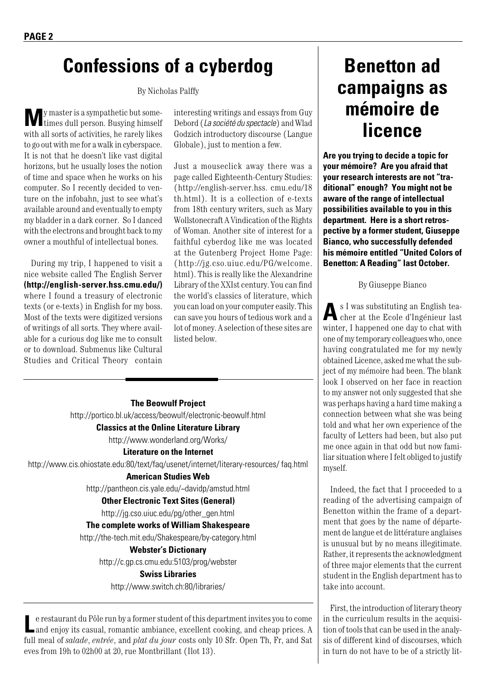### **Confessions of a cyberdog**

By Nicholas Palffy

**M**y master is a sympathetic but some-times dull person. Busying himself with all sorts of activities, he rarely likes to go out with me for a walk in cyberspace. It is not that he doesn't like vast digital horizons, but he usually loses the notion of time and space when he works on his computer. So I recently decided to venture on the infobahn, just to see what's available around and eventually to empty my bladder in a dark corner. So I danced with the electrons and brought back to my owner a mouthful of intellectual bones.

During my trip, I happened to visit a nice website called The English Server **(http://english-server.hss.cmu.edu/)**  where I found a treasury of electronic texts (or e-texts) in English for my boss. Most of the texts were digitized versions of writings of all sorts. They where available for a curious dog like me to consult or to download. Submenus like Cultural Studies and Critical Theory contain interesting writings and essays from Guy Debord (*La société du spectacle*) and Wlad Godzich introductory discourse (Langue Globale), just to mention a few.

Just a mouseclick away there was a page called Eighteenth-Century Studies: (http://english-server.hss. cmu.edu/18 th.html). It is a collection of e-texts from 18th century writers, such as Mary Wollstonecraft A Vindication of the Rights of Woman. Another site of interest for a faithful cyberdog like me was located at the Gutenberg Project Home Page: (http://jg.cso.uiuc.edu/PG/welcome. html). This is really like the Alexandrine Library of the XXIst century. You can find the world's classics of literature, which you can load on your computer easily. This can save you hours of tedious work and a lot of money. A selection of these sites are listed below.

#### **The Beowulf Project**

http://portico.bl.uk/access/beowulf/electronic-beowulf.html

**Classics at the Online Literature Library**

http://www.wonderland.org/Works/

**Literature on the Internet**

http://www.cis.ohiostate.edu:80/text/faq/usenet/internet/literary-resources/ faq.html

#### **American Studies Web**

http://pantheon.cis.yale.edu/~davidp/amstud.html

#### **Other Electronic Text Sites (General)**

http://jg.cso.uiuc.edu/pg/other\_gen.html

#### **The complete works of William Shakespeare**

http://the-tech.mit.edu/Shakespeare/by-category.html

#### **Webster's Dictionary**

http://c.gp.cs.cmu.edu:5103/prog/webster

#### **Swiss Libraries**

http://www.switch.ch:80/libraries/

Le restaurant du Pôle run by a former student of this department invites you to come and enjoy its casual, romantic ambiance, excellent cooking, and cheap prices. A full meal of *salade*, *entrée*, and *plat du jour* costs only 10 Sfr. Open Th, Fr, and Sat eves from 19h to 02h00 at 20, rue Montbrillant (Ilot 13).

## **Benetton ad campaigns as mémoire de licence**

**Are you trying to decide a topic for your mémoire? Are you afraid that your research interests are not "traditional" enough? You might not be aware of the range of intellectual possibilities available to you in this department. Here is a short retrospective by a former student, Giuseppe Bianco, who successfully defended his mémoire entitled "United Colors of Benetton: A Reading" last October.**

By Giuseppe Bianco

**A**s I was substituting an English tea-cher at the Ecole d'Ingénieur last winter, I happened one day to chat with one of my temporary colleagues who, once having congratulated me for my newly obtained Licence, asked me what the subject of my mémoire had been. The blank look I observed on her face in reaction to my answer not only suggested that she was perhaps having a hard time making a connection between what she was being told and what her own experience of the faculty of Letters had been, but also put me once again in that odd but now familiar situation where I felt obliged to justify myself.

Indeed, the fact that I proceeded to a reading of the advertising campaign of Benetton within the frame of a department that goes by the name of département de langue et de littérature anglaises is unusual but by no means illegitimate. Rather, it represents the acknowledgment of three major elements that the current student in the English department has to take into account.

First, the introduction of literary theory in the curriculum results in the acquisition of tools that can be used in the analysis of different kind of discourses, which in turn do not have to be of a strictly lit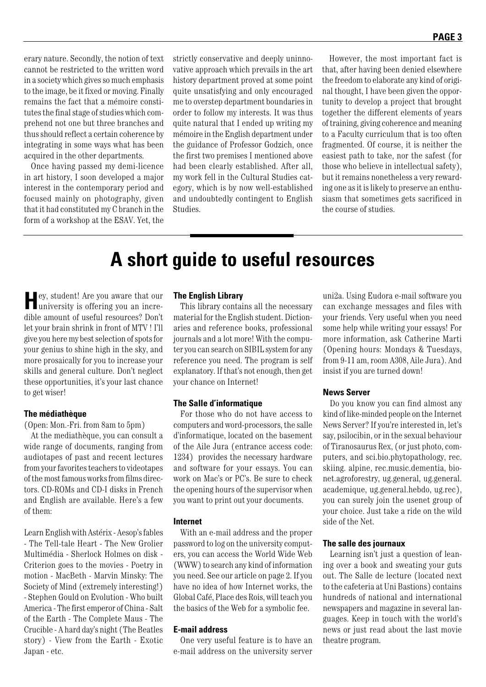erary nature. Secondly, the notion of text cannot be restricted to the written word in a society which gives so much emphasis to the image, be it fixed or moving. Finally remains the fact that a mémoire constitutes the final stage of studies which comprehend not one but three branches and thus should reflect a certain coherence by integrating in some ways what has been acquired in the other departments.

Once having passed my demi-licence in art history, I soon developed a major interest in the contemporary period and focused mainly on photography, given that it had constituted my C branch in the form of a workshop at the ESAV. Yet, the

strictly conservative and deeply uninnovative approach which prevails in the art history department proved at some point quite unsatisfying and only encouraged me to overstep department boundaries in order to follow my interests. It was thus quite natural that I ended up writing my mémoire in the English department under the guidance of Professor Godzich, once the first two premises I mentioned above had been clearly established. After all, my work fell in the Cultural Studies category, which is by now well-established and undoubtedly contingent to English Studies.

However, the most important fact is that, after having been denied elsewhere the freedom to elaborate any kind of original thought, I have been given the opportunity to develop a project that brought together the different elements of years of training, giving coherence and meaning to a Faculty curriculum that is too often fragmented. Of course, it is neither the easiest path to take, nor the safest (for those who believe in intellectual safety), but it remains nonetheless a very rewarding one as it is likely to preserve an enthusiasm that sometimes gets sacrificed in the course of studies.

### **A short guide to useful resources**

**H**ey, student! Are you aware that our university is offering you an incredible amount of useful resources? Don't let your brain shrink in front of MTV ! I'll give you here my best selection of spots for your genius to shine high in the sky, and more prosaically for you to increase your skills and general culture. Don't neglect these opportunities, it's your last chance to get wiser!

#### **The médiathèque**

(Open: Mon.-Fri. from 8am to 5pm)

At the mediathèque, you can consult a wide range of documents, ranging from audiotapes of past and recent lectures from your favorites teachers to videotapes of the most famous works from films directors. CD-ROMs and CD-I disks in French and English are available. Here's a few of them:

Learn English with Astérix - Aesop's fables - The Tell-tale Heart - The New Grolier Multimédia - Sherlock Holmes on disk - Criterion goes to the movies - Poetry in motion - MacBeth - Marvin Minsky: The Society of Mind (extremely interesting!) - Stephen Gould on Evolution - Who built America - The first emperor of China - Salt of the Earth - The Complete Maus - The Crucible - A hard day's night (The Beatles story) - View from the Earth - Exotic Japan - etc.

#### **The English Library**

This library contains all the necessary material for the English student. Dictionaries and reference books, professional journals and a lot more! With the computer you can search on SIBIL system for any reference you need. The program is self explanatory. If that's not enough, then get your chance on Internet!

#### **The Salle d'informatique**

For those who do not have access to computers and word-processors, the salle d'informatique, located on the basement of the Aile Jura (entrance access code: 1234) provides the necessary hardware and software for your essays. You can work on Mac's or PC's. Be sure to check the opening hours of the supervisor when you want to print out your documents.

#### **Internet**

With an e-mail address and the proper password to log on the university computers, you can access the World Wide Web (WWW) to search any kind of information you need. See our article on page 2. If you have no idea of how Internet works, the Global Café, Place des Rois, will teach you the basics of the Web for a symbolic fee.

#### **E-mail address**

One very useful feature is to have an e-mail address on the university server

uni2a. Using Eudora e-mail software you can exchange messages and files with your friends. Very useful when you need some help while writing your essays! For more information, ask Catherine Marti (Opening hours: Mondays & Tuesdays, from 9-11 am, room A308, Aile Jura). And insist if you are turned down!

#### **News Server**

Do you know you can find almost any kind of like-minded people on the Internet News Server? If you're interested in, let's say, psilocibin, or in the sexual behaviour of Tiranosaurus Rex, (or just photo, computers, and sci.bio.phytopathology, rec. skiing. alpine, rec.music.dementia, bionet.agroforestry, ug.general, ug.general. academique, ug.general.hebdo, ug.rec), you can surely join the usenet group of your choice. Just take a ride on the wild side of the Net.

#### **The salle des journaux**

Learning isn't just a question of leaning over a book and sweating your guts out. The Salle de lecture (located next to the cafeteria at Uni Bastions) contains hundreds of national and international newspapers and magazine in several languages. Keep in touch with the world's news or just read about the last movie theatre program.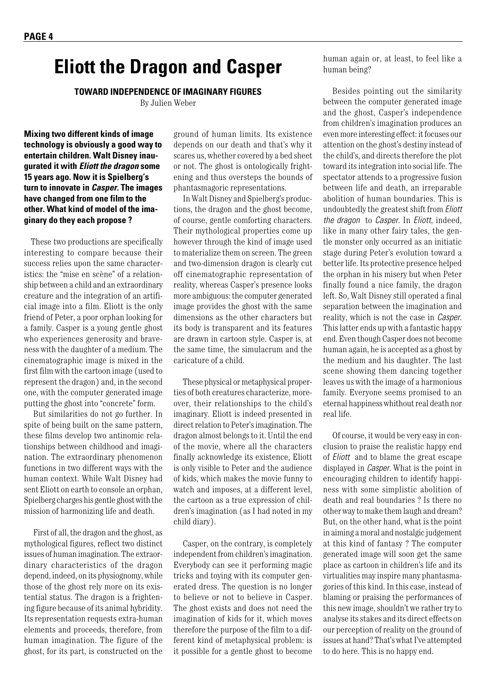### **Eliott the Dragon and Casper**

**TOWARD INDEPENDENCE OF IMAGINARY FIGURES**

By Julien Weber

**Mixing two different kinds of image technology is obviously a good way to entertain children. Walt Disney inaugurated it with** *Eliott the dragon* **some 15 years ago. Now it is Spielberg's turn to innovate in** *Casper***. The images have changed from one film to the other. What kind of model of the imaginary do they each propose ?**

These two productions are specifically interesting to compare because their success relies upon the same characteristics: the "mise en scène" of a relationship between a child and an extraordinary creature and the integration of an artificial image into a film. Eliott is the only friend of Peter, a poor orphan looking for a family. Casper is a young gentle ghost who experiences generosity and braveness with the daughter of a medium. The cinematographic image is mixed in the first film with the cartoon image (used to represent the dragon) and, in the second one, with the computer generated image putting the ghost into "concrete" form.

But similarities do not go further. In spite of being built on the same pattern, these films develop two antinomic relationships between childhood and imagination. The extraordinary phenomenon functions in two different ways with the human context. While Walt Disney had sent Eliott on earth to console an orphan, Spielberg charges his gentle ghost with the mission of harmonizing life and death.

First of all, the dragon and the ghost, as mythological figures, reflect two distinct issues of human imagination. The extraordinary characteristics of the dragon depend, indeed, on its physiognomy, while those of the ghost rely more on its existential status. The dragon is a frightening figure because of its animal hybridity. Its representation requests extra-human elements and proceeds, therefore, from human imagination. The figure of the ghost, for its part, is constructed on the ground of human limits. Its existence depends on our death and that's why it scares us, whether covered by a bed sheet or not. The ghost is ontologically frightening and thus oversteps the bounds of phantasmagoric representations.

In Walt Disney and Spielberg's productions, the dragon and the ghost become, of course, gentle comforting characters. Their mythological properties come up however through the kind of image used to materialize them on screen. The green and two-dimension dragon is clearly cut off cinematographic representation of reality, whereas Casper's presence looks more ambiguous: the computer generated image provides the ghost with the same dimensions as the other characters but its body is transparent and its features are drawn in cartoon style. Casper is, at the same time, the simulacrum and the caricature of a child.

These physical or metaphysical properties of both creatures characterize, moreover, their relationships to the child's imaginary. Eliott is indeed presented in direct relation to Peter's imagination. The dragon almost belongs to it. Until the end of the movie, where all the characters finally acknowledge its existence, Eliott is only visible to Peter and the audience of kids, which makes the movie funny to watch and imposes, at a different level, the cartoon as a true expression of children's imagination (as I had noted in my child diary).

Casper, on the contrary, is completely independent from children's imagination. Everybody can see it performing magic tricks and toying with its computer generated dress. The question is no longer to believe or not to believe in Casper. The ghost exists and does not need the imagination of kids for it, which moves therefore the purpose of the film to a different kind of metaphysical problem: is it possible for a gentle ghost to become

human again or, at least, to feel like a human being?

Besides pointing out the similarity between the computer generated image and the ghost, Casper's independence from children's imagination produces an even more interesting effect: it focuses our attention on the ghost's destiny instead of the child's, and directs therefore the plot toward its integration into social life. The spectator attends to a progressive fusion between life and death, an irreparable abolition of human boundaries. This is undoubtedly the greatest shift from *Eliott the dragon* to *Casper*. In *Eliott*, indeed, like in many other fairy tales, the gentle monster only occurred as an initiatic stage during Peter's evolution toward a better life. Its protective presence helped the orphan in his misery but when Peter finally found a nice family, the dragon left. So, Walt Disney still operated a final separation between the imagination and reality, which is not the case in *Casper*. This latter ends up with a fantastic happy end. Even though Casper does not become human again, he is accepted as a ghost by the medium and his daughter. The last scene showing them dancing together leaves us with the image of a harmonious family. Everyone seems promised to an eternal happiness whithout real death nor real life.

Of course, it would be very easy in conclusion to praise the realistic happy end of *Eliott* and to blame the great escape displayed in *Casper*. What is the point in encouraging children to identify happiness with some simplistic abolition of death and real boundaries ? Is there no other way to make them laugh and dream? But, on the other hand, what is the point in aiming a moral and nostalgic judgement at this kind of fantasy ? The computer generated image will soon get the same place as cartoon in children's life and its virtualities may inspire many phantasmagories of this kind. In this case, instead of blaming or praising the performances of this new image, shouldn't we rather try to analyse its stakes and its direct effects on our perception of reality on the ground of issues at hand? That's what I've attempted to do here. This is no happy end.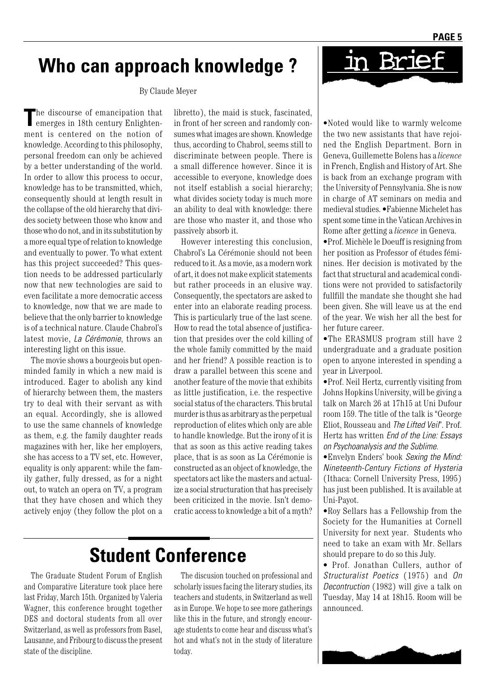### **Who can approach knowledge ?**

By Claude Meyer

The discourse of emancipation that emerges in 18th century Enlightenment is centered on the notion of knowledge. According to this philosophy, personal freedom can only be achieved by a better understanding of the world. In order to allow this process to occur, knowledge has to be transmitted, which, consequently should at length result in the collapse of the old hierarchy that divides society between those who know and those who do not, and in its substitution by a more equal type of relation to knowledge and eventually to power. To what extent has this project succeeded? This question needs to be addressed particularly now that new technologies are said to even facilitate a more democratic access to knowledge, now that we are made to believe that the only barrier to knowledge is of a technical nature. Claude Chabrol's latest movie, *La Cérémonie*, throws an interesting light on this issue.

The movie shows a bourgeois but openminded family in which a new maid is introduced. Eager to abolish any kind of hierarchy between them, the masters try to deal with their servant as with an equal. Accordingly, she is allowed to use the same channels of knowledge as them, e.g. the family daughter reads magazines with her, like her employers, she has access to a TV set, etc. However, equality is only apparent: while the family gather, fully dressed, as for a night out, to watch an opera on TV, a program that they have chosen and which they actively enjoy (they follow the plot on a

libretto), the maid is stuck, fascinated, in front of her screen and randomly consumes what images are shown. Knowledge thus, according to Chabrol, seems still to discriminate between people. There is a small difference however. Since it is accessible to everyone, knowledge does not itself establish a social hierarchy; what divides society today is much more an ability to deal with knowledge: there are those who master it, and those who passively absorb it.

However interesting this conclusion, Chabrol's La Cérémonie should not been reduced to it. As a movie, as a modern work of art, it does not make explicit statements but rather proceeds in an elusive way. Consequently, the spectators are asked to enter into an elaborate reading process. This is particularly true of the last scene. How to read the total absence of justification that presides over the cold killing of the whole family committed by the maid and her friend? A possible reaction is to draw a parallel between this scene and another feature of the movie that exhibits as little justification, i.e. the respective social status of the characters. This brutal murder is thus as arbitrary as the perpetual reproduction of elites which only are able to handle knowledge. But the irony of it is that as soon as this active reading takes place, that is as soon as La Cérémonie is constructed as an object of knowledge, the spectators act like the masters and actualize a social structuration that has precisely been criticized in the movie. Isn't democratic access to knowledge a bit of a myth?

# **Student Conference**

The Graduate Student Forum of English and Comparative Literature took place here last Friday, March 15th. Organized by Valeria Wagner, this conference brought together DES and doctoral students from all over Switzerland, as well as professors from Basel, Lausanne, and Fribourg to discuss the present state of the discipline.

The discusion touched on professional and scholarly issues facing the literary studies, its teachers and students, in Switzerland as well as in Europe. We hope to see more gatherings like this in the future, and strongly encourage students to come hear and discuss what's hot and what's not in the study of literature today.



in Brie

•Prof. Michèle le Doeuff is resigning from her position as Professor of études féminines. Her decision is motivated by the fact that structural and academical conditions were not provided to satisfactorily fullfill the mandate she thought she had been given. She will leave us at the end of the year. We wish her all the best for her future career.

•The ERASMUS program still have 2 undergraduate and a graduate position open to anyone interested in spending a year in Liverpool.

•Prof. Neil Hertz, currently visiting from Johns Hopkins University, will be giving a talk on March 26 at 17h15 at Uni Dufour room 159. The title of the talk is "George Eliot, Rousseau and *The Lifted Veil*". Prof. Hertz has written *End of the Line: Essays on Psychoanalysis and the Sublime.*

•Envelyn Enders' book *Sexing the Mind: Nineteenth-Century Fictions of Hysteria* (Ithaca: Cornell University Press, 1995) has just been published. It is available at Uni-Payot.

•Roy Sellars has a Fellowship from the Society for the Humanities at Cornell University for next year. Students who need to take an exam with Mr. Sellars should prepare to do so this July.

• Prof. Jonathan Cullers, author of *Structuralist Poetics* (1975) and *On Decontruction* (1982) will give a talk on Tuesday, May 14 at 18h15. Room will be announced.

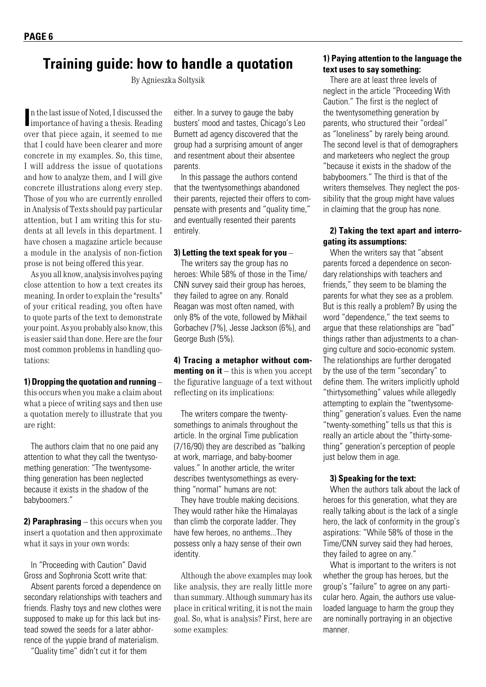### **Training guide: how to handle a quotation**

By Agnieszka Soltysik

In the last issue of Noted, I discussed the importance of having a thesis. Reading n the last issue of Noted, I discussed the over that piece again, it seemed to me that I could have been clearer and more concrete in my examples. So, this time, I will address the issue of quotations and how to analyze them, and I will give concrete illustrations along every step. Those of you who are currently enrolled in Analysis of Texts should pay particular attention, but I am writing this for students at all levels in this department. I have chosen a magazine article because a module in the analysis of non-fiction prose is not being offered this year.

As you all know, analysis involves paying close attention to how a text creates its meaning. In order to explain the "results" of your critical reading, you often have to quote parts of the text to demonstrate your point. As you probably also know, this is easier said than done. Here are the four most common problems in handling quotations:

#### **1) Dropping the quotation and running** –

this occurs when you make a claim about what a piece of writing says and then use a quotation merely to illustrate that you are right:

The authors claim that no one paid any attention to what they call the twentysomething generation: "The twentysomething generation has been neglected because it exists in the shadow of the babyboomers."

**2) Paraphrasing** – this occurs when you insert a quotation and then approximate what it says in your own words:

In "Proceeding with Caution" David Gross and Sophronia Scott write that:

Absent parents forced a dependence on secondary relationships with teachers and friends. Flashy toys and new clothes were supposed to make up for this lack but instead sowed the seeds for a later abhorrence of the yuppie brand of materialism.

"Quality time" didn't cut it for them

either. In a survey to gauge the baby busters' mood and tastes, Chicago's Leo Burnett ad agency discovered that the group had a surprising amount of anger and resentment about their absentee parents.

In this passage the authors contend that the twentysomethings abandoned their parents, rejected their offers to compensate with presents and "quality time," and eventually resented their parents entirely.

#### **3) Letting the text speak for you** –

The writers say the group has no heroes: While 58% of those in the Time/ CNN survey said their group has heroes, they failed to agree on any. Ronald Reagan was most often named, with only 8% of the vote, followed by Mikhail Gorbachev (7%), Jesse Jackson (6%), and George Bush (5%).

**4) Tracing a metaphor without commenting on it** – this is when you accept the figurative language of a text without reflecting on its implications:

The writers compare the twentysomethings to animals throughout the article. In the orginal Time publication (7/16/90) they are described as "balking at work, marriage, and baby-boomer values." In another article, the writer describes twentysomethings as everything "normal" humans are not:

They have trouble making decisions. They would rather hike the Himalayas than climb the corporate ladder. They have few heroes, no anthems...They possess only a hazy sense of their own identity.

Although the above examples may look like analysis, they are really little more than summary. Although summary has its place in critical writing, it is not the main goal. So, what is analysis? First, here are some examples:

#### **1) Paying attention to the language the text uses to say something:**

There are at least three levels of neglect in the article "Proceeding With Caution." The first is the neglect of the twentysomething generation by parents, who structured their "ordeal" as "loneliness" by rarely being around. The second level is that of demographers and marketeers who neglect the group "because it exists in the shadow of the babyboomers." The third is that of the writers themselves. They neglect the possibility that the group might have values in claiming that the group has none.

#### **2) Taking the text apart and interrogating its assumptions:**

When the writers say that "absent parents forced a dependence on secondary relationships with teachers and friends," they seem to be blaming the parents for what they see as a problem. But is this really a problem? By using the word "dependence," the text seems to argue that these relationships are "bad" things rather than adjustments to a changing culture and socio-economic system. The relationships are further derogated by the use of the term "secondary" to define them. The writers implicitly uphold "thirtysomething" values while allegedly attempting to explain the "twentysomething" generation's values. Even the name "twenty-something" tells us that this is really an article about the "thirty-something" generation's perception of people just below them in age.

#### **3) Speaking for the text:**

When the authors talk about the lack of heroes for this generation, what they are really talking about is the lack of a single hero, the lack of conformity in the group's aspirations: "While 58% of those in the Time/CNN survey said they had heroes, they failed to agree on any."

What is important to the writers is not whether the group has heroes, but the group's "failure" to agree on any particular hero. Again, the authors use valueloaded language to harm the group they are nominally portraying in an objective manner.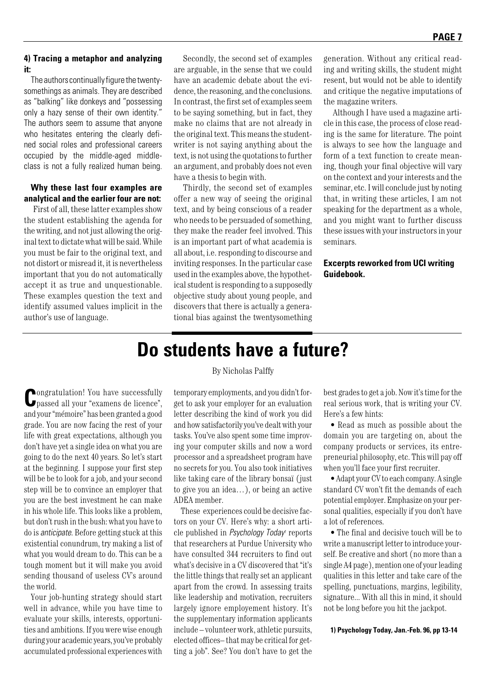#### **4) Tracing a metaphor and analyzing it:**

The authors continually figure the twentysomethings as animals. They are described as "balking" like donkeys and "possessing only a hazy sense of their own identity." The authors seem to assume that anyone who hesitates entering the clearly defined social roles and professional careers occupied by the middle-aged middleclass is not a fully realized human being.

#### **Why these last four examples are analytical and the earlier four are not:**

First of all, these latter examples show the student establishing the agenda for the writing, and not just allowing the original text to dictate what will be said. While you must be fair to the original text, and not distort or misread it, it is nevertheless important that you do not automatically accept it as true and unquestionable. These examples question the text and identify assumed values implicit in the author's use of language.

Secondly, the second set of examples are arguable, in the sense that we could have an academic debate about the evidence, the reasoning, and the conclusions. In contrast, the first set of examples seem to be saying something, but in fact, they make no claims that are not already in the original text. This means the studentwriter is not saying anything about the text, is not using the quotations to further an argument, and probably does not even have a thesis to begin with.

Thirdly, the second set of examples offer a new way of seeing the original text, and by being conscious of a reader who needs to be persuaded of something, they make the reader feel involved. This is an important part of what academia is all about, i.e. responding to discourse and inviting responses. In the particular case used in the examples above, the hypothetical student is responding to a supposedly objective study about young people, and discovers that there is actually a generational bias against the twentysomething generation. Without any critical reading and writing skills, the student might resent, but would not be able to identify and critique the negative imputations of the magazine writers.

Although I have used a magazine article in this case, the process of close reading is the same for literature. The point is always to see how the language and form of a text function to create meaning, though your final objective will vary on the context and your interests and the seminar, etc. I will conclude just by noting that, in writing these articles, I am not speaking for the department as a whole, and you might want to further discuss these issues with your instructors in your seminars.

**Excerpts reworked from UCI writing Guidebook.**

**C**ongratulation! You have successfully passed all your "examens de licence", and your "mémoire" has been granted a good grade. You are now facing the rest of your life with great expectations, although you don't have yet a single idea on what you are going to do the next 40 years. So let's start at the beginning. I suppose your first step will be be to look for a job, and your second step will be to convince an employer that you are the best investment he can make in his whole life. This looks like a problem, but don't rush in the bush: what you have to do is *anticipate*. Before getting stuck at this existential conundrum, try making a list of what you would dream to do. This can be a tough moment but it will make you avoid sending thousand of useless CV's around the world.

Your job-hunting strategy should start well in advance, while you have time to evaluate your skills, interests, opportunities and ambitions. If you were wise enough during your academic years, you've probably accumulated professional experiences with

#### By Nicholas Palffy

**Do students have a future?**

temporary employments, and you didn't forget to ask your employer for an evaluation letter describing the kind of work you did and how satisfactorily you've dealt with your tasks. You've also spent some time improving your computer skills and now a word processor and a spreadsheet program have no secrets for you. You also took initiatives like taking care of the library bonsaï (just to give you an idea…), or being an active ADEA member.

These experiences could be decisive factors on your CV. Here's why: a short article published in *Psychology Today<sup>1</sup>* reports that researchers at Purdue University who have consulted 344 recruiters to find out what's decisive in a CV discovered that "it's the little things that really set an applicant apart from the crowd. In assessing traits like leadership and motivation, recruiters largely ignore employement history. It's the supplementary information applicants include – volunteer work, athletic pursuits, elected offices– that may be critical for getting a job". See? You don't have to get the

best grades to get a job. Now it's time for the real serious work, that is writing your CV. Here's a few hints:

• Read as much as possible about the domain you are targeting on, about the company products or services, its entrepreneurial philosophy, etc. This will pay off when you'll face your first recruiter.

• Adapt your CV to each company. A single standard CV won't fit the demands of each potential employer. Emphasize on your personal qualities, especially if you don't have a lot of references.

• The final and decisive touch will be to write a manuscript letter to introduce yourself. Be creative and short (no more than a single A4 page), mention one of your leading qualities in this letter and take care of the spelling, punctuations, margins, legibility, signature... With all this in mind, it should not be long before you hit the jackpot.

**1) Psychology Today, Jan.-Feb. 96, pp 13-14**